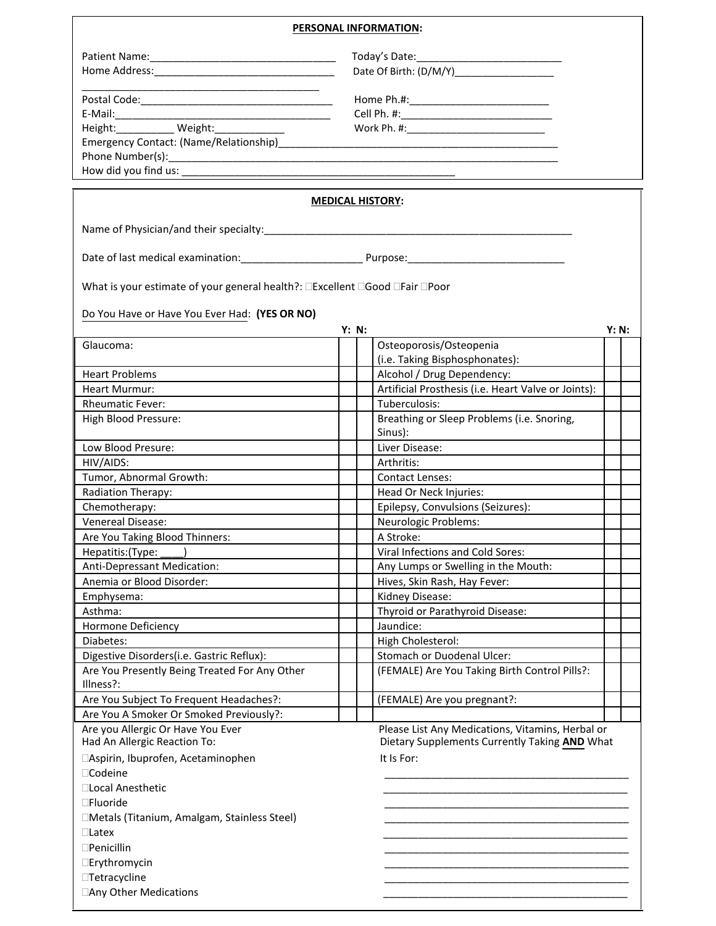## **PERSONAL INFORMATION:**

1

| <u> 1989 - Johann Barbara, margaret eta idazlea (h. 1989).</u>                     |       |                                                                                                   |       |
|------------------------------------------------------------------------------------|-------|---------------------------------------------------------------------------------------------------|-------|
|                                                                                    |       |                                                                                                   |       |
|                                                                                    |       |                                                                                                   |       |
|                                                                                    |       |                                                                                                   |       |
|                                                                                    |       |                                                                                                   |       |
|                                                                                    |       |                                                                                                   |       |
|                                                                                    |       |                                                                                                   |       |
|                                                                                    |       | <b>MEDICAL HISTORY:</b>                                                                           |       |
|                                                                                    |       |                                                                                                   |       |
|                                                                                    |       |                                                                                                   |       |
| What is your estimate of your general health?: <b>DExcellent DGood DFair DPoor</b> |       |                                                                                                   |       |
| Do You Have or Have You Ever Had: (YES OR NO)                                      |       |                                                                                                   |       |
|                                                                                    | Y: N: |                                                                                                   | Y: N: |
| Glaucoma:                                                                          |       | Osteoporosis/Osteopenia<br>(i.e. Taking Bisphosphonates):                                         |       |
| <b>Heart Problems</b>                                                              |       | Alcohol / Drug Dependency:                                                                        |       |
| <b>Heart Murmur:</b>                                                               |       | Artificial Prosthesis (i.e. Heart Valve or Joints):                                               |       |
| <b>Rheumatic Fever:</b>                                                            |       | Tuberculosis:                                                                                     |       |
| High Blood Pressure:                                                               |       | Breathing or Sleep Problems (i.e. Snoring,<br>Sinus):                                             |       |
| Low Blood Presure:                                                                 |       | Liver Disease:                                                                                    |       |
| HIV/AIDS:                                                                          |       | Arthritis:                                                                                        |       |
| Tumor, Abnormal Growth:                                                            |       | <b>Contact Lenses:</b>                                                                            |       |
| Radiation Therapy:                                                                 |       | Head Or Neck Injuries:                                                                            |       |
| Chemotherapy:                                                                      |       | Epilepsy, Convulsions (Seizures):                                                                 |       |
| Venereal Disease:                                                                  |       | <b>Neurologic Problems:</b>                                                                       |       |
| Are You Taking Blood Thinners:                                                     |       | A Stroke:                                                                                         |       |
| Hepatitis:(Type: _____)                                                            |       | Viral Infections and Cold Sores:                                                                  |       |
| Anti-Depressant Medication:                                                        |       | Any Lumps or Swelling in the Mouth:                                                               |       |
| Anemia or Blood Disorder:                                                          |       | Hives, Skin Rash, Hay Fever:                                                                      |       |
| Emphysema:                                                                         |       | Kidney Disease:                                                                                   |       |
| Asthma:                                                                            |       | Thyroid or Parathyroid Disease:                                                                   |       |
| Hormone Deficiency                                                                 |       | Jaundice:                                                                                         |       |
| Diabetes:                                                                          |       | High Cholesterol:                                                                                 |       |
| Digestive Disorders(i.e. Gastric Reflux):                                          |       | Stomach or Duodenal Ulcer:                                                                        |       |
| Are You Presently Being Treated For Any Other<br>Illness?:                         |       | (FEMALE) Are You Taking Birth Control Pills?:                                                     |       |
| Are You Subject To Frequent Headaches?:                                            |       | (FEMALE) Are you pregnant?:                                                                       |       |
| Are You A Smoker Or Smoked Previously?:                                            |       |                                                                                                   |       |
| Are you Allergic Or Have You Ever<br>Had An Allergic Reaction To:                  |       | Please List Any Medications, Vitamins, Herbal or<br>Dietary Supplements Currently Taking AND What |       |
| □Aspirin, Ibuprofen, Acetaminophen<br>□Codeine                                     |       | It Is For:                                                                                        |       |
| □Local Anesthetic                                                                  |       |                                                                                                   |       |
| □Fluoride                                                                          |       |                                                                                                   |       |
| □Metals (Titanium, Amalgam, Stainless Steel)                                       |       |                                                                                                   |       |
| $\Box$ Latex                                                                       |       |                                                                                                   |       |
| $\square$ Penicillin                                                               |       |                                                                                                   |       |
| □Erythromycin                                                                      |       |                                                                                                   |       |
| <b>Tetracycline</b>                                                                |       |                                                                                                   |       |
|                                                                                    |       |                                                                                                   |       |